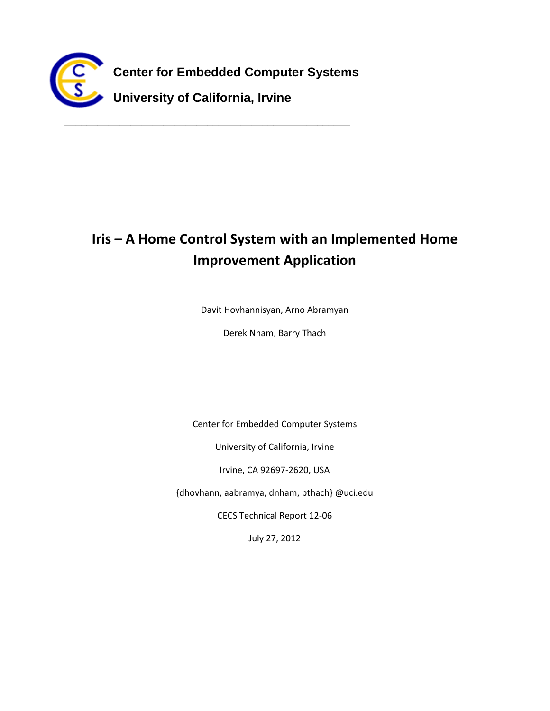

**\_\_\_\_\_\_\_\_\_\_\_\_\_\_\_\_\_\_\_\_\_\_\_\_\_\_\_\_\_\_\_\_\_\_\_\_\_\_\_\_\_\_\_\_\_\_\_\_\_\_\_\_**

# **Iris – A Home Control System with an Implemented Home Improvement Application**

Davit Hovhannisyan, Arno Abramyan

Derek Nham, Barry Thach

Center for Embedded Computer Systems

University of California, Irvine

Irvine, CA 92697‐2620, USA

{dhovhann, aabramya, dnham, bthach} @uci.edu

CECS Technical Report 12‐06

July 27, 2012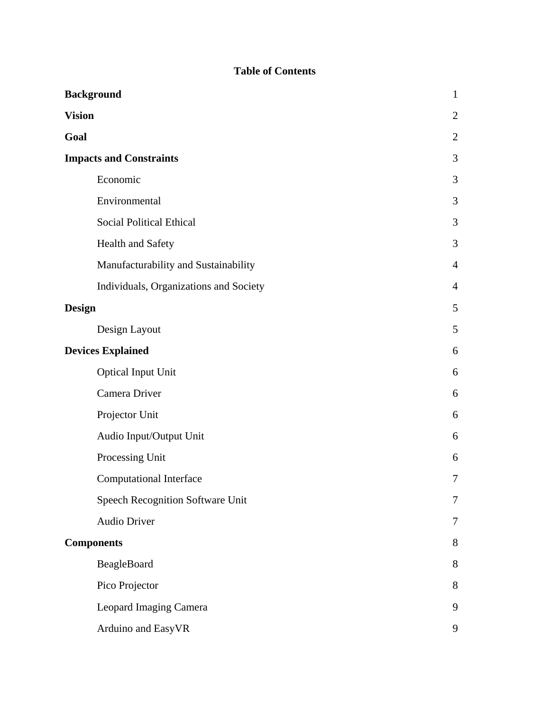# **Table of Contents**

| <b>Background</b>                      | $\mathbf{1}$   |
|----------------------------------------|----------------|
| <b>Vision</b>                          | $\overline{2}$ |
| Goal                                   | $\overline{2}$ |
| <b>Impacts and Constraints</b>         | 3              |
| Economic                               | 3              |
| Environmental                          | 3              |
| <b>Social Political Ethical</b>        | 3              |
| <b>Health and Safety</b>               | 3              |
| Manufacturability and Sustainability   | $\overline{4}$ |
| Individuals, Organizations and Society | $\overline{4}$ |
| <b>Design</b>                          | 5              |
| Design Layout                          | 5              |
| <b>Devices Explained</b>               | 6              |
| <b>Optical Input Unit</b>              | 6              |
| Camera Driver                          | 6              |
| Projector Unit                         | 6              |
| Audio Input/Output Unit                | 6              |
| Processing Unit                        | 6              |
| <b>Computational Interface</b>         | 7              |
| Speech Recognition Software Unit       | 7              |
| <b>Audio Driver</b>                    | 7              |
| <b>Components</b>                      | 8              |
| BeagleBoard                            | 8              |
| Pico Projector                         | 8              |
| Leopard Imaging Camera                 | 9              |
| Arduino and EasyVR                     | 9              |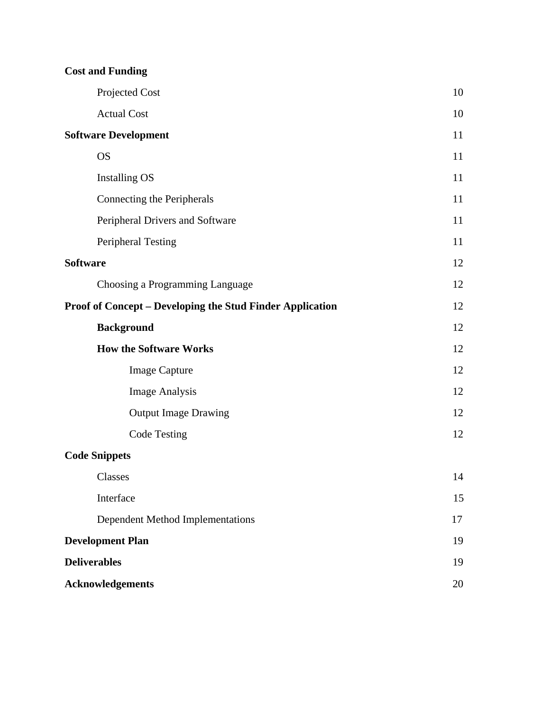|  |  | <b>Cost and Funding</b> |  |
|--|--|-------------------------|--|
|--|--|-------------------------|--|

| Projected Cost                                                   | 10 |
|------------------------------------------------------------------|----|
| <b>Actual Cost</b>                                               | 10 |
| <b>Software Development</b>                                      | 11 |
| <b>OS</b>                                                        | 11 |
| <b>Installing OS</b>                                             | 11 |
| Connecting the Peripherals                                       | 11 |
| Peripheral Drivers and Software                                  | 11 |
| <b>Peripheral Testing</b>                                        | 11 |
| <b>Software</b>                                                  | 12 |
| Choosing a Programming Language                                  | 12 |
| <b>Proof of Concept – Developing the Stud Finder Application</b> | 12 |
| <b>Background</b>                                                | 12 |
| <b>How the Software Works</b>                                    | 12 |
| <b>Image Capture</b>                                             | 12 |
| <b>Image Analysis</b>                                            | 12 |
| <b>Output Image Drawing</b>                                      | 12 |
| <b>Code Testing</b>                                              | 12 |
| <b>Code Snippets</b>                                             |    |
| Classes                                                          | 14 |
| Interface                                                        | 15 |
| Dependent Method Implementations                                 | 17 |
| <b>Development Plan</b>                                          | 19 |
| <b>Deliverables</b>                                              | 19 |
| <b>Acknowledgements</b>                                          | 20 |
|                                                                  |    |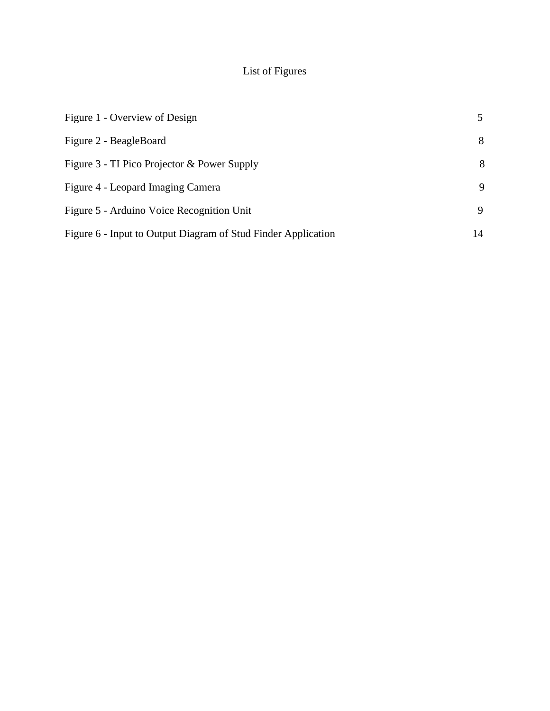# List of Figures

| Figure 1 - Overview of Design                                 |    |
|---------------------------------------------------------------|----|
| Figure 2 - BeagleBoard                                        | 8  |
| Figure 3 - TI Pico Projector & Power Supply                   | 8  |
| Figure 4 - Leopard Imaging Camera                             | 9  |
| Figure 5 - Arduino Voice Recognition Unit                     | 9  |
| Figure 6 - Input to Output Diagram of Stud Finder Application | 14 |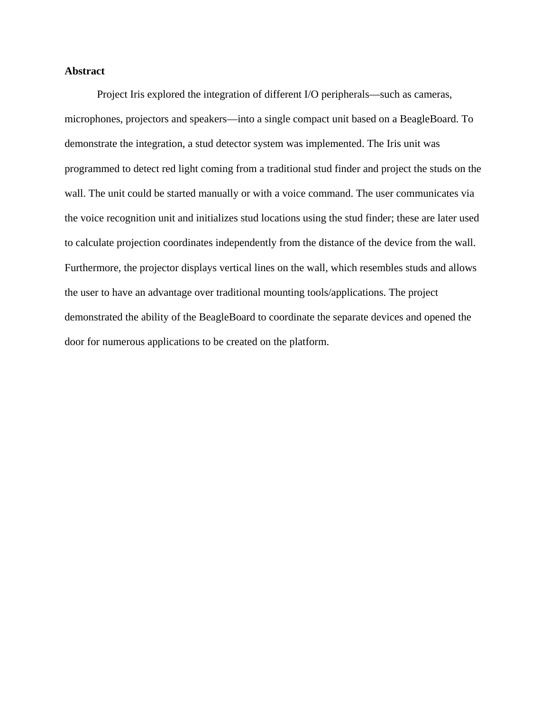## **Abstract**

Project Iris explored the integration of different I/O peripherals—such as cameras, microphones, projectors and speakers—into a single compact unit based on a BeagleBoard. To demonstrate the integration, a stud detector system was implemented. The Iris unit was programmed to detect red light coming from a traditional stud finder and project the studs on the wall. The unit could be started manually or with a voice command. The user communicates via the voice recognition unit and initializes stud locations using the stud finder; these are later used to calculate projection coordinates independently from the distance of the device from the wall. Furthermore, the projector displays vertical lines on the wall, which resembles studs and allows the user to have an advantage over traditional mounting tools/applications. The project demonstrated the ability of the BeagleBoard to coordinate the separate devices and opened the door for numerous applications to be created on the platform.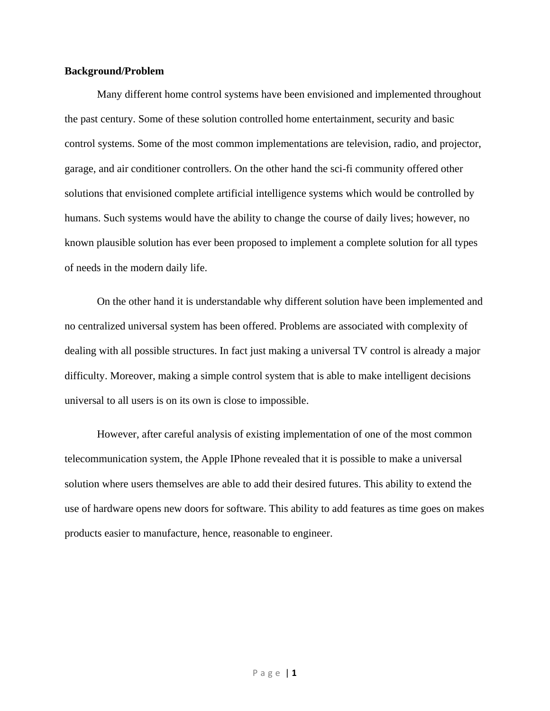#### **Background/Problem**

 Many different home control systems have been envisioned and implemented throughout the past century. Some of these solution controlled home entertainment, security and basic control systems. Some of the most common implementations are television, radio, and projector, garage, and air conditioner controllers. On the other hand the sci-fi community offered other solutions that envisioned complete artificial intelligence systems which would be controlled by humans. Such systems would have the ability to change the course of daily lives; however, no known plausible solution has ever been proposed to implement a complete solution for all types of needs in the modern daily life.

On the other hand it is understandable why different solution have been implemented and no centralized universal system has been offered. Problems are associated with complexity of dealing with all possible structures. In fact just making a universal TV control is already a major difficulty. Moreover, making a simple control system that is able to make intelligent decisions universal to all users is on its own is close to impossible.

However, after careful analysis of existing implementation of one of the most common telecommunication system, the Apple IPhone revealed that it is possible to make a universal solution where users themselves are able to add their desired futures. This ability to extend the use of hardware opens new doors for software. This ability to add features as time goes on makes products easier to manufacture, hence, reasonable to engineer.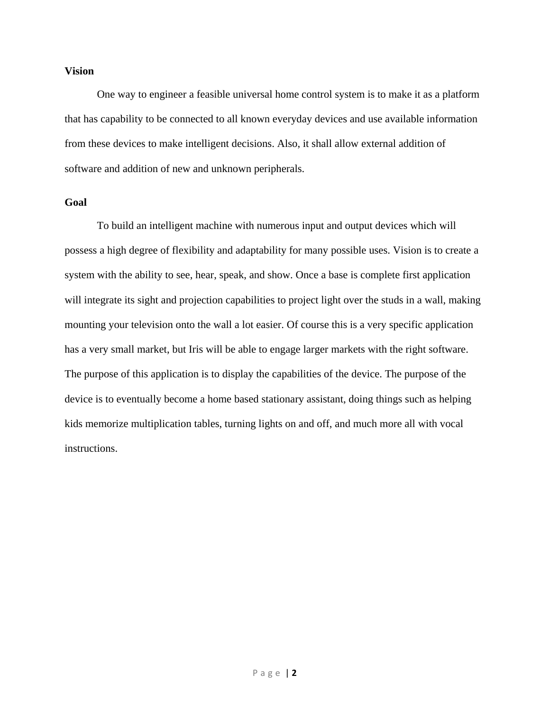#### **Vision**

 One way to engineer a feasible universal home control system is to make it as a platform that has capability to be connected to all known everyday devices and use available information from these devices to make intelligent decisions. Also, it shall allow external addition of software and addition of new and unknown peripherals.

#### **Goal**

To build an intelligent machine with numerous input and output devices which will possess a high degree of flexibility and adaptability for many possible uses. Vision is to create a system with the ability to see, hear, speak, and show. Once a base is complete first application will integrate its sight and projection capabilities to project light over the studs in a wall, making mounting your television onto the wall a lot easier. Of course this is a very specific application has a very small market, but Iris will be able to engage larger markets with the right software. The purpose of this application is to display the capabilities of the device. The purpose of the device is to eventually become a home based stationary assistant, doing things such as helping kids memorize multiplication tables, turning lights on and off, and much more all with vocal instructions.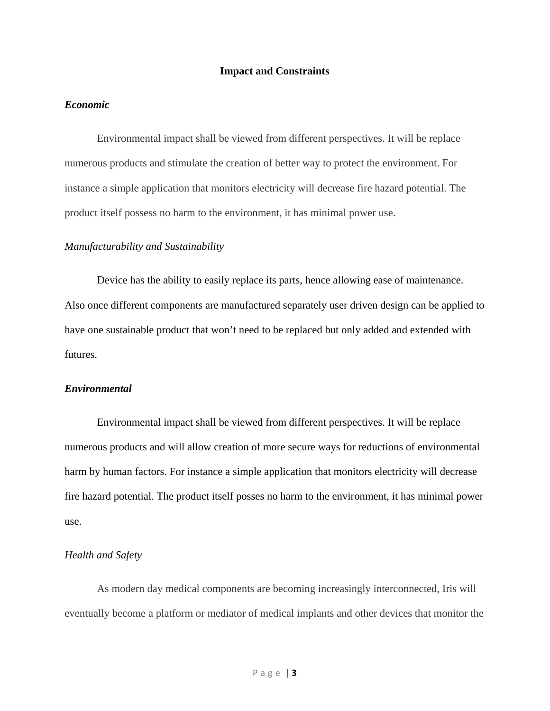#### **Impact and Constraints**

#### *Economic*

Environmental impact shall be viewed from different perspectives. It will be replace numerous products and stimulate the creation of better way to protect the environment. For instance a simple application that monitors electricity will decrease fire hazard potential. The product itself possess no harm to the environment, it has minimal power use.

#### *Manufacturability and Sustainability*

 Device has the ability to easily replace its parts, hence allowing ease of maintenance. Also once different components are manufactured separately user driven design can be applied to have one sustainable product that won't need to be replaced but only added and extended with futures.

#### *Environmental*

 Environmental impact shall be viewed from different perspectives. It will be replace numerous products and will allow creation of more secure ways for reductions of environmental harm by human factors. For instance a simple application that monitors electricity will decrease fire hazard potential. The product itself posses no harm to the environment, it has minimal power use.

#### *Health and Safety*

As modern day medical components are becoming increasingly interconnected, Iris will eventually become a platform or mediator of medical implants and other devices that monitor the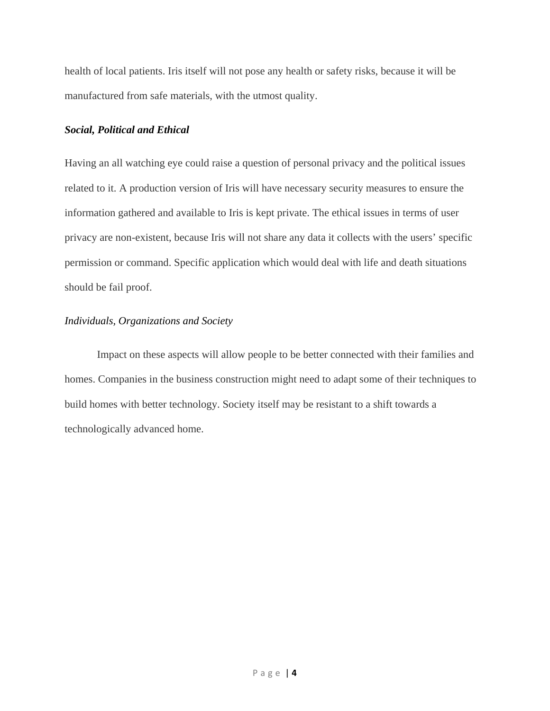health of local patients. Iris itself will not pose any health or safety risks, because it will be manufactured from safe materials, with the utmost quality.

#### *Social, Political and Ethical*

Having an all watching eye could raise a question of personal privacy and the political issues related to it. A production version of Iris will have necessary security measures to ensure the information gathered and available to Iris is kept private. The ethical issues in terms of user privacy are non-existent, because Iris will not share any data it collects with the users' specific permission or command. Specific application which would deal with life and death situations should be fail proof.

## *Individuals, Organizations and Society*

Impact on these aspects will allow people to be better connected with their families and homes. Companies in the business construction might need to adapt some of their techniques to build homes with better technology. Society itself may be resistant to a shift towards a technologically advanced home.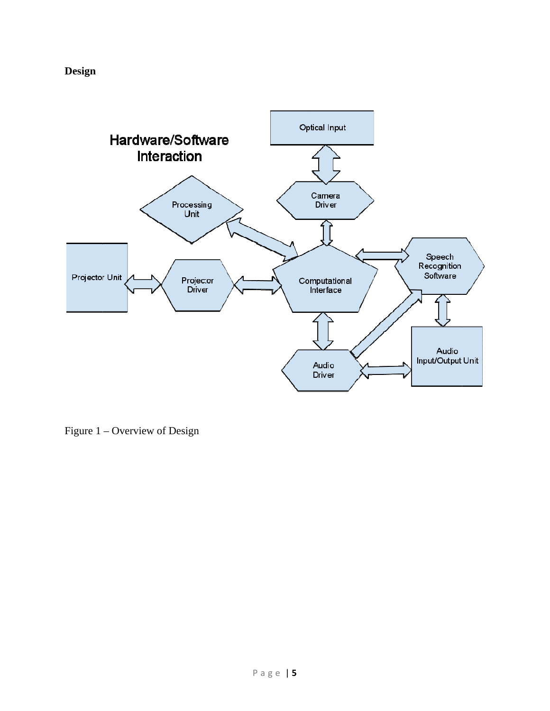**Design** 



Figure 1 – Overview of Design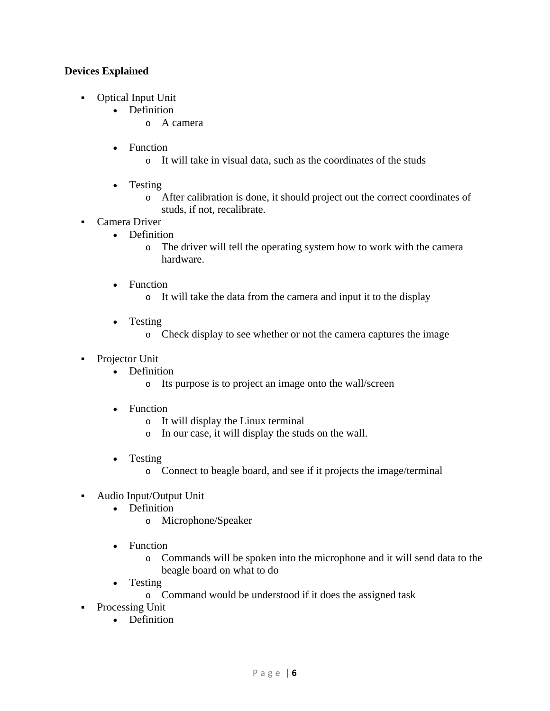# **Devices Explained**

- Optical Input Unit
	- Definition
		- o A camera
	- Function
		- o It will take in visual data, such as the coordinates of the studs
	- Testing
		- o After calibration is done, it should project out the correct coordinates of studs, if not, recalibrate.
- Camera Driver
	- Definition
		- o The driver will tell the operating system how to work with the camera hardware.
	- Function
		- o It will take the data from the camera and input it to the display
	- Testing
		- o Check display to see whether or not the camera captures the image
- Projector Unit
	- Definition
		- o Its purpose is to project an image onto the wall/screen
	- Function
		- o It will display the Linux terminal
		- o In our case, it will display the studs on the wall.
	- Testing
		- o Connect to beagle board, and see if it projects the image/terminal
- Audio Input/Output Unit
	- Definition
		- o Microphone/Speaker
	- Function
		- o Commands will be spoken into the microphone and it will send data to the beagle board on what to do
	- Testing
		- o Command would be understood if it does the assigned task
- Processing Unit
	- Definition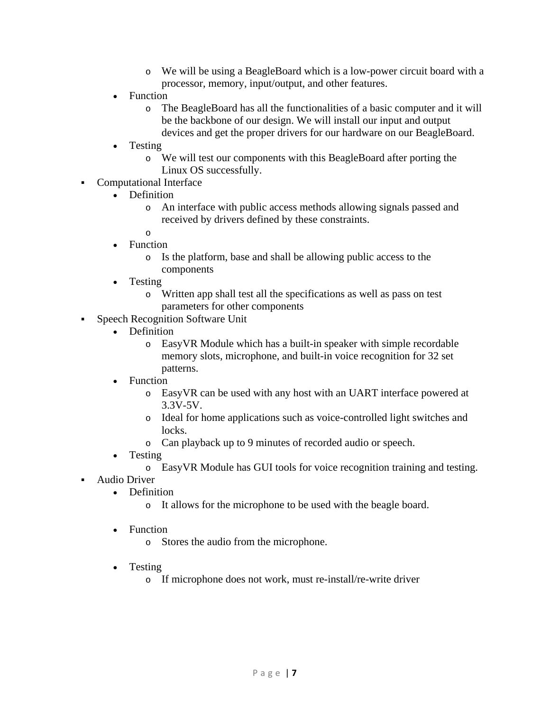- o We will be using a BeagleBoard which is a low-power circuit board with a processor, memory, input/output, and other features.
- Function
	- o The BeagleBoard has all the functionalities of a basic computer and it will be the backbone of our design. We will install our input and output devices and get the proper drivers for our hardware on our BeagleBoard.
- Testing
	- o We will test our components with this BeagleBoard after porting the Linux OS successfully.
- Computational Interface
	- Definition
		- o An interface with public access methods allowing signals passed and received by drivers defined by these constraints.
		- o
	- Function
		- o Is the platform, base and shall be allowing public access to the components
	- Testing
		- o Written app shall test all the specifications as well as pass on test parameters for other components
- Speech Recognition Software Unit
	- Definition
		- o EasyVR Module which has a built-in speaker with simple recordable memory slots, microphone, and built-in voice recognition for 32 set patterns.
	- **Function** 
		- o EasyVR can be used with any host with an UART interface powered at 3.3V-5V.
		- o Ideal for home applications such as voice-controlled light switches and locks.
		- o Can playback up to 9 minutes of recorded audio or speech.
	- Testing
		- o EasyVR Module has GUI tools for voice recognition training and testing.
- Audio Driver
	- Definition
		- o It allows for the microphone to be used with the beagle board.
	- Function
		- o Stores the audio from the microphone.
	- Testing
		- o If microphone does not work, must re-install/re-write driver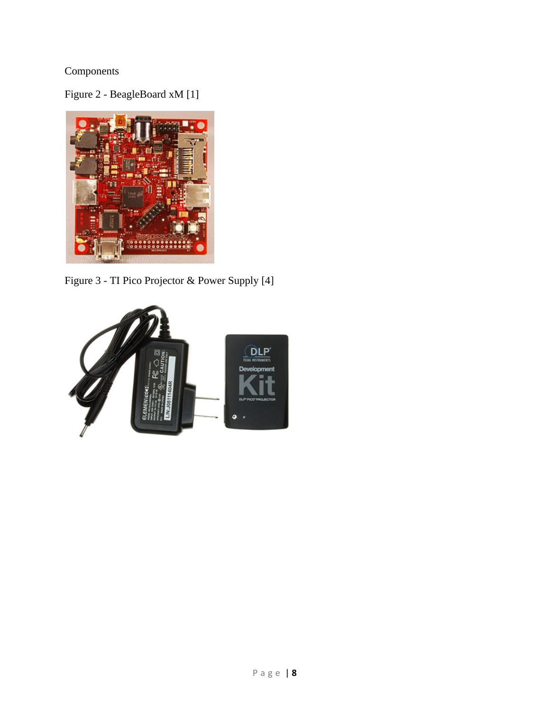# Components

Figure 2 - BeagleBoard xM [1]



Figure 3 - TI Pico Projector & Power Supply [4]

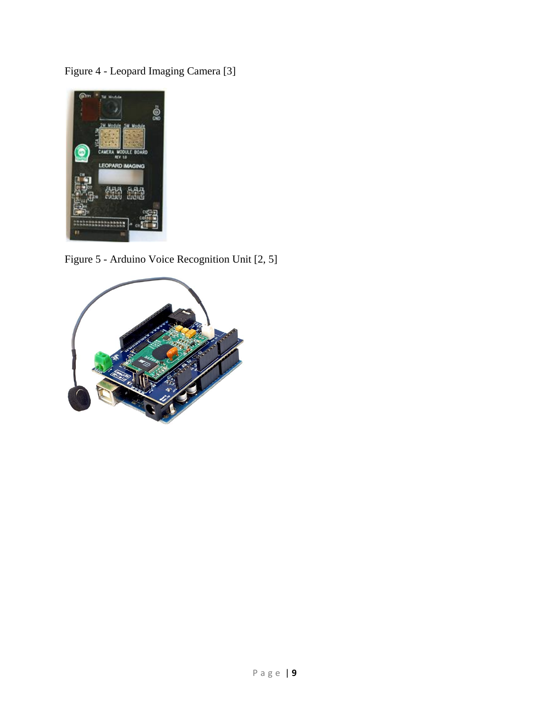Figure 4 - Leopard Imaging Camera [3]



Figure 5 - Arduino Voice Recognition Unit [2, 5]

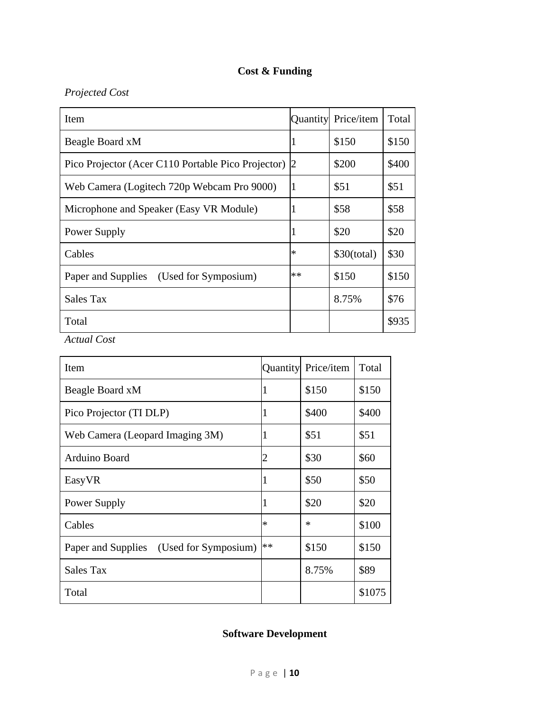# **Cost & Funding**

# *Projected Cost*

| Item                                               |        | Quantity Price/item | Total |
|----------------------------------------------------|--------|---------------------|-------|
| Beagle Board xM                                    |        | \$150               | \$150 |
| Pico Projector (Acer C110 Portable Pico Projector) |        | \$200               | \$400 |
| Web Camera (Logitech 720p Webcam Pro 9000)         |        | \$51                | \$51  |
| Microphone and Speaker (Easy VR Module)            |        | \$58                | \$58  |
| Power Supply                                       |        | \$20                | \$20  |
| Cables                                             | $\ast$ | \$30(total)         | \$30  |
| Paper and Supplies (Used for Symposium)            | $**$   | \$150               | \$150 |
| Sales Tax                                          |        | 8.75%               | \$76  |
| Total                                              |        |                     | \$935 |

*Actual Cost* 

| Item                                    |        | Quantity Price/item | Total  |
|-----------------------------------------|--------|---------------------|--------|
| Beagle Board xM                         |        | \$150               | \$150  |
| Pico Projector (TI DLP)                 |        | \$400               | \$400  |
| Web Camera (Leopard Imaging 3M)         |        | \$51                | \$51   |
| Arduino Board                           |        | \$30                | \$60   |
| EasyVR                                  |        | \$50                | \$50   |
| Power Supply                            |        | \$20                | \$20   |
| Cables                                  | $\ast$ | $\ast$              | \$100  |
| Paper and Supplies (Used for Symposium) | **     | \$150               | \$150  |
| <b>Sales Tax</b>                        |        | 8.75%               | \$89   |
| Total                                   |        |                     | \$1075 |

# **Software Development**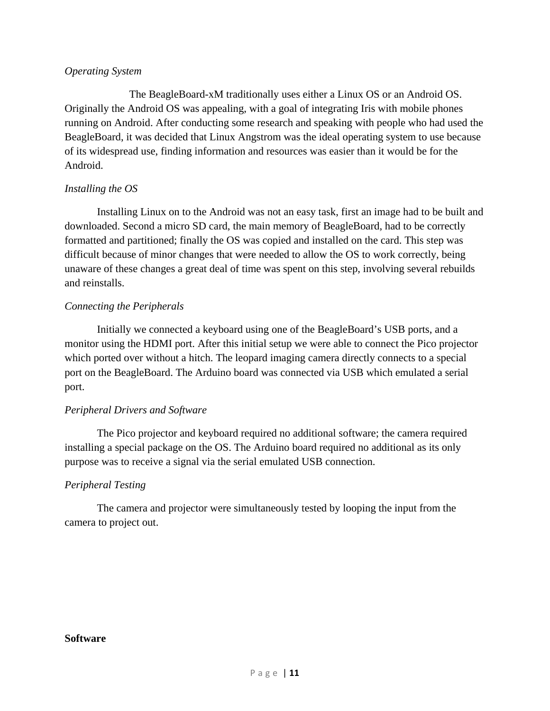## *Operating System*

 The BeagleBoard-xM traditionally uses either a Linux OS or an Android OS. Originally the Android OS was appealing, with a goal of integrating Iris with mobile phones running on Android. After conducting some research and speaking with people who had used the BeagleBoard, it was decided that Linux Angstrom was the ideal operating system to use because of its widespread use, finding information and resources was easier than it would be for the Android.

# *Installing the OS*

 Installing Linux on to the Android was not an easy task, first an image had to be built and downloaded. Second a micro SD card, the main memory of BeagleBoard, had to be correctly formatted and partitioned; finally the OS was copied and installed on the card. This step was difficult because of minor changes that were needed to allow the OS to work correctly, being unaware of these changes a great deal of time was spent on this step, involving several rebuilds and reinstalls.

# *Connecting the Peripherals*

 Initially we connected a keyboard using one of the BeagleBoard's USB ports, and a monitor using the HDMI port. After this initial setup we were able to connect the Pico projector which ported over without a hitch. The leopard imaging camera directly connects to a special port on the BeagleBoard. The Arduino board was connected via USB which emulated a serial port.

# *Peripheral Drivers and Software*

 The Pico projector and keyboard required no additional software; the camera required installing a special package on the OS. The Arduino board required no additional as its only purpose was to receive a signal via the serial emulated USB connection.

# *Peripheral Testing*

 The camera and projector were simultaneously tested by looping the input from the camera to project out.

#### **Software**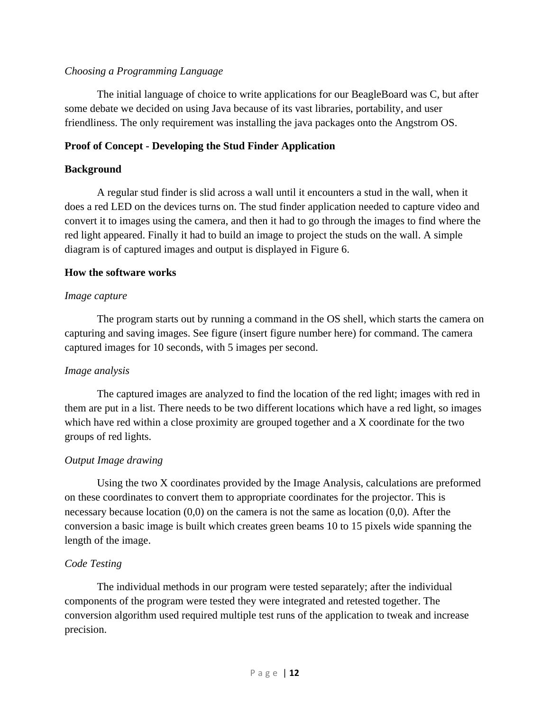# *Choosing a Programming Language*

 The initial language of choice to write applications for our BeagleBoard was C, but after some debate we decided on using Java because of its vast libraries, portability, and user friendliness. The only requirement was installing the java packages onto the Angstrom OS.

# **Proof of Concept - Developing the Stud Finder Application**

# **Background**

 A regular stud finder is slid across a wall until it encounters a stud in the wall, when it does a red LED on the devices turns on. The stud finder application needed to capture video and convert it to images using the camera, and then it had to go through the images to find where the red light appeared. Finally it had to build an image to project the studs on the wall. A simple diagram is of captured images and output is displayed in Figure 6.

# **How the software works**

# *Image capture*

The program starts out by running a command in the OS shell, which starts the camera on capturing and saving images. See figure (insert figure number here) for command. The camera captured images for 10 seconds, with 5 images per second.

# *Image analysis*

 The captured images are analyzed to find the location of the red light; images with red in them are put in a list. There needs to be two different locations which have a red light, so images which have red within a close proximity are grouped together and a X coordinate for the two groups of red lights.

# *Output Image drawing*

 Using the two X coordinates provided by the Image Analysis, calculations are preformed on these coordinates to convert them to appropriate coordinates for the projector. This is necessary because location  $(0,0)$  on the camera is not the same as location  $(0,0)$ . After the conversion a basic image is built which creates green beams 10 to 15 pixels wide spanning the length of the image.

# *Code Testing*

 The individual methods in our program were tested separately; after the individual components of the program were tested they were integrated and retested together. The conversion algorithm used required multiple test runs of the application to tweak and increase precision.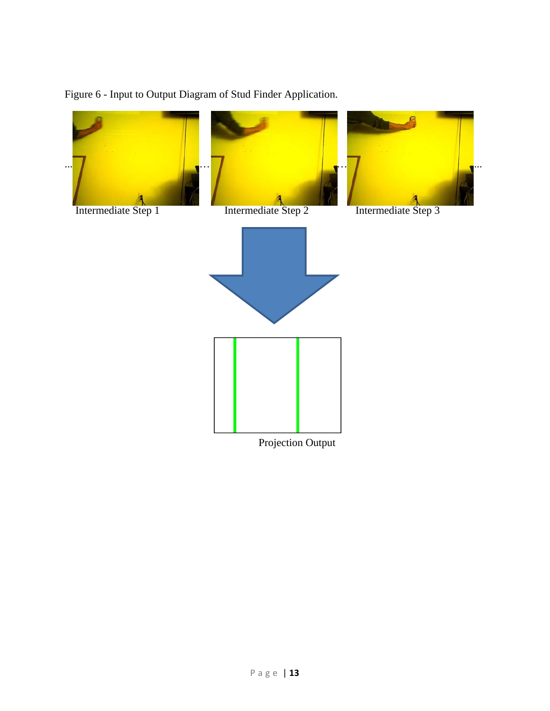

# Figure 6 - Input to Output Diagram of Stud Finder Application.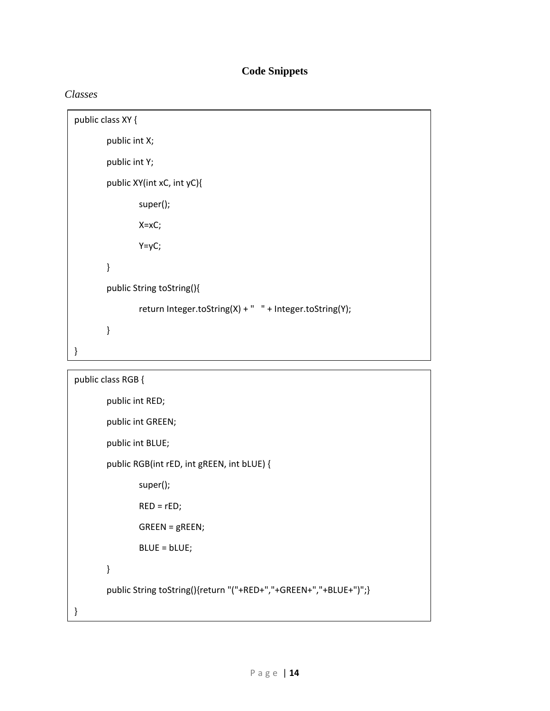# **Code Snippets**

# *Classes*

```
public class XY {
         public int X;
         public int Y;
         public XY(int xC, int yC){
                      super();
                      X=xC;
                      Y=yC;
         }
         public String toString(){
                      return Integer.toString(X) + "   " + Integer.toString(Y);
         }
}
```

```
public class RGB {
        public int RED;
        public int GREEN;
        public int BLUE;
        public RGB(int rED, int gREEN, int bLUE) {
                    super();
                RED = rED;    GREEN = gREEN;
                    BLUE = bLUE;
        }
        public String toString(){return "("+RED+","+GREEN+","+BLUE+")";}
}
```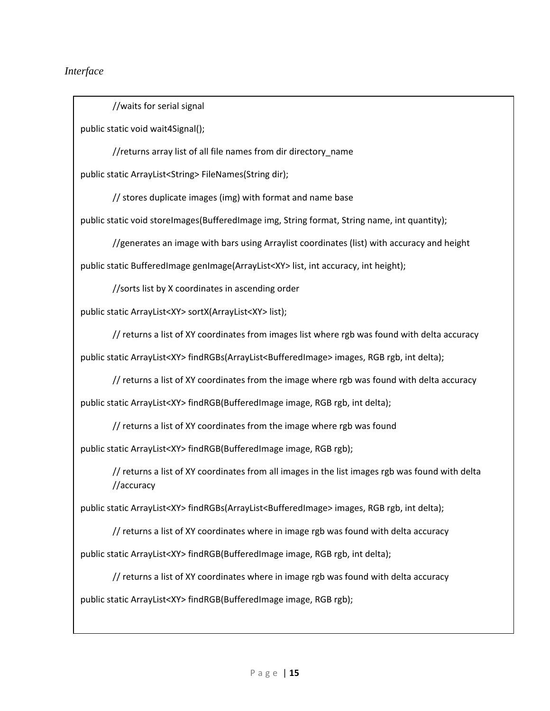## *Interface*

//waits for serial signal

public static void wait4Signal();

//returns array list of all file names from dir directory\_name

public static ArrayList<String> FileNames(String dir);

// stores duplicate images (img) with format and name base

public static void storeImages(BufferedImage img, String format, String name, int quantity);

//generates an image with bars using Arraylist coordinates (list) with accuracy and height

public static BufferedImage genImage(ArrayList<XY> list, int accuracy, int height);

//sorts list by X coordinates in ascending order

public static ArrayList<XY> sortX(ArrayList<XY> list);

// returns a list of XY coordinates from images list where rgb was found with delta accuracy

public static ArrayList<XY> findRGBs(ArrayList<BufferedImage> images, RGB rgb, int delta);

// returns a list of XY coordinates from the image where rgb was found with delta accuracy

public static ArrayList<XY> findRGB(BufferedImage image, RGB rgb, int delta);

// returns a list of XY coordinates from the image where rgb was found

public static ArrayList<XY> findRGB(BufferedImage image, RGB rgb);

// returns a list of XY coordinates from all images in the list images rgb was found with delta //accuracy

public static ArrayList<XY> findRGBs(ArrayList<BufferedImage> images, RGB rgb, int delta);

// returns a list of XY coordinates where in image rgb was found with delta accuracy

public static ArrayList<XY> findRGB(BufferedImage image, RGB rgb, int delta);

// returns a list of XY coordinates where in image rgb was found with delta accuracy

public static ArrayList<XY> findRGB(BufferedImage image, RGB rgb);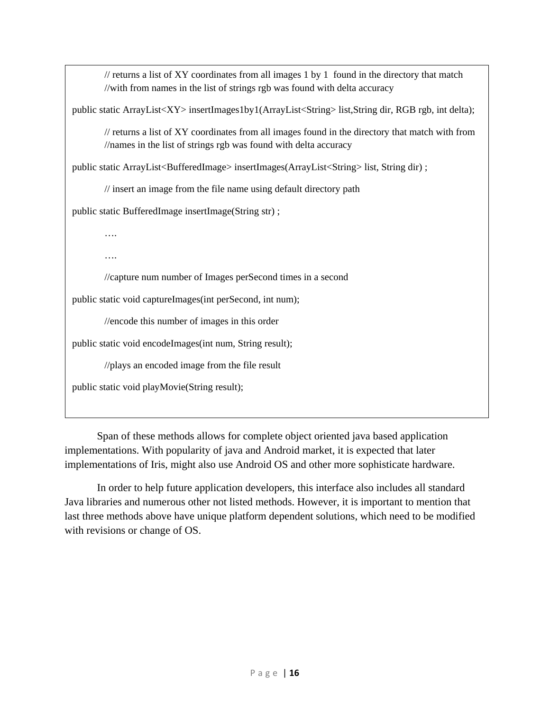$\ell$  returns a list of XY coordinates from all images 1 by 1 found in the directory that match //with from names in the list of strings rgb was found with delta accuracy

public static ArrayList<XY> insertImages1by1(ArrayList<String> list,String dir, RGB rgb, int delta);

// returns a list of XY coordinates from all images found in the directory that match with from //names in the list of strings rgb was found with delta accuracy

public static ArrayList<BufferedImage> insertImages(ArrayList<String> list, String dir) ;

// insert an image from the file name using default directory path

public static BufferedImage insertImage(String str) ;

….

….

//capture num number of Images perSecond times in a second

public static void captureImages(int perSecond, int num);

//encode this number of images in this order

public static void encodeImages(int num, String result);

//plays an encoded image from the file result

public static void playMovie(String result);

Span of these methods allows for complete object oriented java based application implementations. With popularity of java and Android market, it is expected that later implementations of Iris, might also use Android OS and other more sophisticate hardware.

In order to help future application developers, this interface also includes all standard Java libraries and numerous other not listed methods. However, it is important to mention that last three methods above have unique platform dependent solutions, which need to be modified with revisions or change of OS.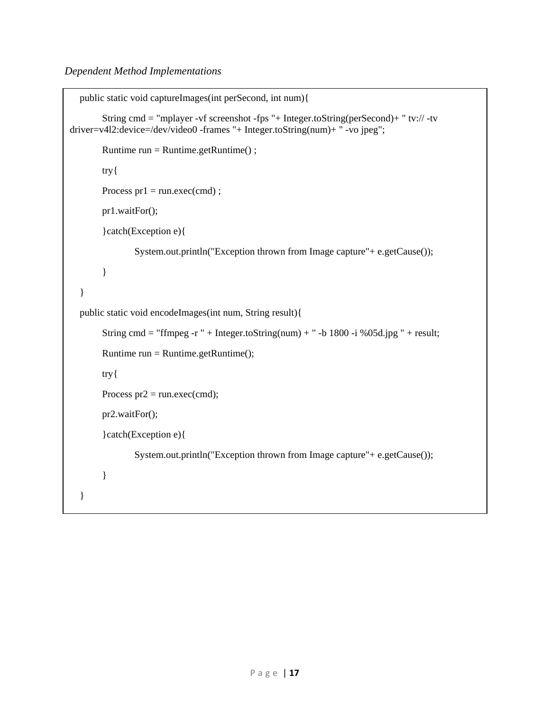```
public static void captureImages(int perSecond, int num){
String cmd = "mplayer -vf screenshot -fps "+ Integer.toString(perSecond)+ " tv:// -tv
driver=v4l2:device=/dev/video0 -frames "+ Integer.toString(num)+ " -vo jpeg"; 
         Runtime run = Runtime.getRuntime() ; 
         try{ 
        Process pr1 = run.exec(cmd);
         pr1.waitFor(); 
          }catch(Exception e){ 
                  System.out.println("Exception thrown from Image capture"+ e.getCause()); 
          } 
    } 
    public static void encodeImages(int num, String result){ 
        String cmd = "ffmpeg -r " + Integer.toString(num) + " -b 1800 -i %05d.jpg " + result;
        Runtime run = Runtime.getRuntime(); try{ 
        Process pr2 = run.exec(cmd);
         pr2.waitFor(); 
          }catch(Exception e){ 
                  System.out.println("Exception thrown from Image capture"+ e.getCause()); 
          }
```

```
 }
```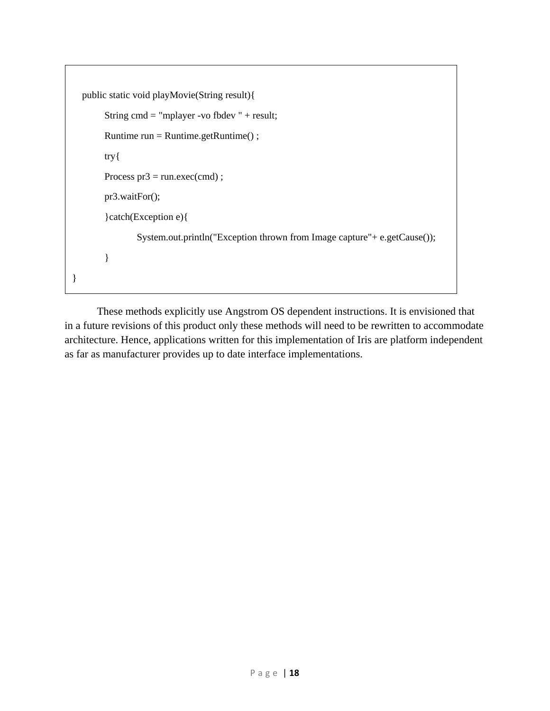```
 public static void playMovie(String result){ 
         String cmd = "mplayer -vo fbdev " + result; 
         Runtime run = Runtime.getRuntime() ; 
         try{ 
        Process pr3 = run.exec(cmd);
         pr3.waitFor(); 
         }catch(Exception e){ 
                 System.out.println("Exception thrown from Image capture"+ e.getCause()); 
         } 
}
```
These methods explicitly use Angstrom OS dependent instructions. It is envisioned that in a future revisions of this product only these methods will need to be rewritten to accommodate architecture. Hence, applications written for this implementation of Iris are platform independent as far as manufacturer provides up to date interface implementations.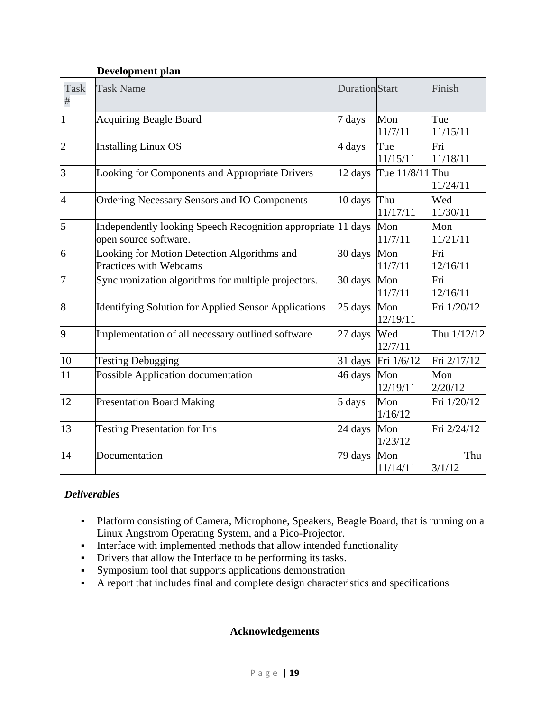# **Development plan**

| Task<br>#      | <b>Task Name</b>                                                                      | <b>Duration</b> Start |                    | Finish          |
|----------------|---------------------------------------------------------------------------------------|-----------------------|--------------------|-----------------|
| $\mathbf{1}$   | <b>Acquiring Beagle Board</b>                                                         | 7 days                | Mon<br>11/7/11     | Tue<br>11/15/11 |
| $\overline{c}$ | <b>Installing Linux OS</b>                                                            | 4 days                | Tue<br>11/15/11    | Fri<br>11/18/11 |
| 3              | Looking for Components and Appropriate Drivers                                        | 12 days               | Tue 11/8/11 Thu    | 11/24/11        |
| $\overline{4}$ | <b>Ordering Necessary Sensors and IO Components</b>                                   | 10 days               | Thu<br>11/17/11    | Wed<br>11/30/11 |
| 5              | Independently looking Speech Recognition appropriate 11 days<br>open source software. |                       | Mon<br>11/7/11     | Mon<br>11/21/11 |
| 6              | Looking for Motion Detection Algorithms and<br>Practices with Webcams                 | 30 days               | Mon<br>11/7/11     | Fri<br>12/16/11 |
| 7              | Synchronization algorithms for multiple projectors.                                   | 30 days               | Mon<br>11/7/11     | Fri<br>12/16/11 |
| 8              | Identifying Solution for Applied Sensor Applications                                  | 25 days               | Mon<br>12/19/11    | Fri 1/20/12     |
| 9              | Implementation of all necessary outlined software                                     | 27 days               | Wed<br>12/7/11     | Thu 1/12/12     |
| 10             | <b>Testing Debugging</b>                                                              |                       | 31 days Fri 1/6/12 | Fri 2/17/12     |
| 11             | Possible Application documentation                                                    | 46 days               | Mon<br>12/19/11    | Mon<br>2/20/12  |
| 12             | <b>Presentation Board Making</b>                                                      | 5 days                | Mon<br>1/16/12     | Fri 1/20/12     |
| 13             | <b>Testing Presentation for Iris</b>                                                  | 24 days               | Mon<br>1/23/12     | Fri 2/24/12     |
| 14             | Documentation                                                                         | 79 days               | Mon<br>11/14/11    | Thu<br>3/1/12   |

# *Deliverables*

- Platform consisting of Camera, Microphone, Speakers, Beagle Board, that is running on a Linux Angstrom Operating System, and a Pico-Projector.
- Interface with implemented methods that allow intended functionality
- Drivers that allow the Interface to be performing its tasks.
- Symposium tool that supports applications demonstration
- A report that includes final and complete design characteristics and specifications

# **Acknowledgements**